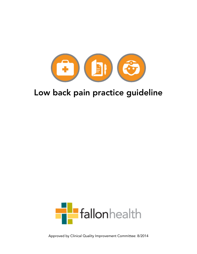

# Low back pain practice guideline



Approved by Clinical Quality Improvement Committee: 8/2014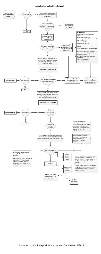#### **Acute low back pain with radiculopathy**



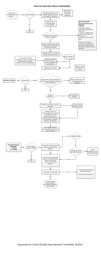### Acute low back pain without radiculopathy

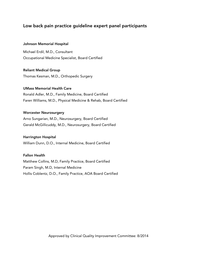## Low back pain practice guideline expert panel participants

#### Johnson Memorial Hospital

Michael Erdil, M.D., Consultant Occupational Medicine Specialist, Board Certified

Reliant Medical Group Thomas Kesman, M.D., Orthopedic Surgery

#### UMass Memorial Health Care

Ronald Adler, M.D., Family Medicine, Board Certified Faren Williams, M.D., Physical Medicine & Rehab, Board Certified

#### Worcester Neurosurgery

Arno Sungarian, M.D., Neurosurgery, Board Certified Gerald McGillicuddy, M.D., Neurosurgery, Board Certified

#### Harrington Hospital

William Dunn, D.O., Internal Medicine, Board Certified

#### Fallon Health

Matthew Collins, M.D, Family Practice, Board Certified Param Singh, M.D, Internal Medicine Hollis Coblentz, D.O., Family Practice, AOA Board Certified